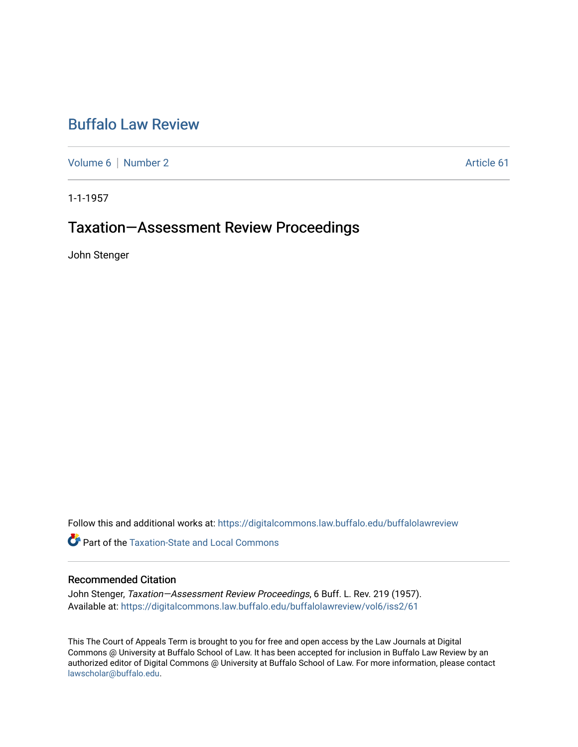## [Buffalo Law Review](https://digitalcommons.law.buffalo.edu/buffalolawreview)

[Volume 6](https://digitalcommons.law.buffalo.edu/buffalolawreview/vol6) | [Number 2](https://digitalcommons.law.buffalo.edu/buffalolawreview/vol6/iss2) Article 61

1-1-1957

# Taxation—Assessment Review Proceedings

John Stenger

Follow this and additional works at: [https://digitalcommons.law.buffalo.edu/buffalolawreview](https://digitalcommons.law.buffalo.edu/buffalolawreview?utm_source=digitalcommons.law.buffalo.edu%2Fbuffalolawreview%2Fvol6%2Fiss2%2F61&utm_medium=PDF&utm_campaign=PDFCoverPages) 

**Part of the Taxation-State and Local Commons** 

## Recommended Citation

John Stenger, Taxation-Assessment Review Proceedings, 6 Buff. L. Rev. 219 (1957). Available at: [https://digitalcommons.law.buffalo.edu/buffalolawreview/vol6/iss2/61](https://digitalcommons.law.buffalo.edu/buffalolawreview/vol6/iss2/61?utm_source=digitalcommons.law.buffalo.edu%2Fbuffalolawreview%2Fvol6%2Fiss2%2F61&utm_medium=PDF&utm_campaign=PDFCoverPages) 

This The Court of Appeals Term is brought to you for free and open access by the Law Journals at Digital Commons @ University at Buffalo School of Law. It has been accepted for inclusion in Buffalo Law Review by an authorized editor of Digital Commons @ University at Buffalo School of Law. For more information, please contact [lawscholar@buffalo.edu](mailto:lawscholar@buffalo.edu).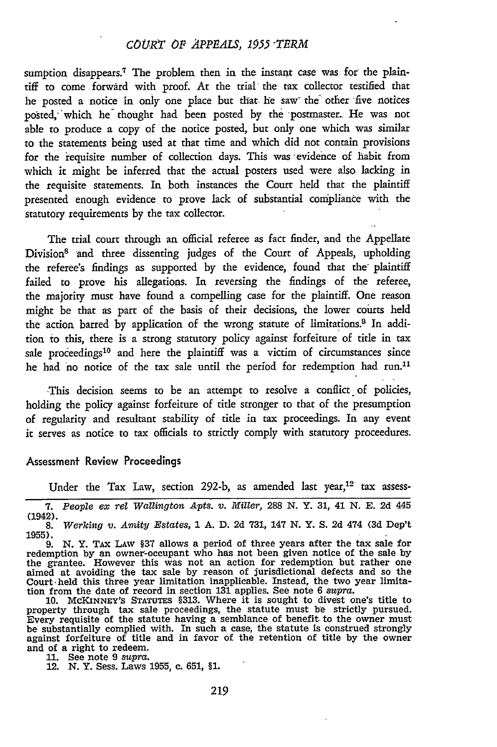## *COURT OF APPEALS, 1955 -TERM*

sumption disappears.<sup>7</sup> The problem then in the instant case was for the plaintiff to come forward with proof. At the trial the tax collector testified that he posted a notice in only one place but that. he saw- the other five notices posted, which he thought had been posted by the postmaster. He was not able to produce a copy of the notice posted, but only one which was similar to the statements being used at that time and which did not contain provisions for the requisite number of collection days. This was evidence of habit from which it might be inferred that the actual posters used were also lacking in the requisite statements. In both instances the Court held that the plaintiff presented enough evidence to prove lack of substantial compliance with the statutory requirements by the tax collector.

The trial court through an official referee as fact finder, and the Appellate Division<sup>8</sup> and three dissenting judges of the Court of Appeals, upholding the referee's findings as supported by the evidence, found that the plaintiff failed to prove his allegations. In reversing the findings of the referee, the majority must have found a compelling case for the plaintiff. One reason might be that as part of the basis of their decisions, the lower courts held the action barred by application of the wrong statute of limitations.<sup>8</sup> In addition to this, there is a strong statutory policy against forfeiture of title in tax sale proceedings<sup>10</sup> and here the plaintiff was a victim of circumstances since he had no notice of the tax sale until the period for redemption had run.<sup>11</sup>

This decision seems to be an attempt to resolve a conflict of policies, holding the policy against forfeiture of title stronger to that of the presumption of regularity and resultant stability of title in tax proceedings. In any event it serves as notice to tax officials to strictly comply with statutory proceedures.

#### Assessment Review Proceedings

Under the Tax Law, section 292-b, as amended last year,<sup>12</sup> tax assess-

property through tax sale proceedings, the statute must be strictly pursued. Every requisite of the statute having a semblance of benefit to the owner must be substantially complied with. In such a case, the statute is construed strongly against forfeiture of title and in favor of the retention of title **by** the owner and of a right to redeem. **11.** See note **9** *supra.* 12. **N.** Y. Sess. Laws **1955,** c. **651, §1.**

**<sup>7.</sup>** *People ex rel Wallington Apts. v. Miller,* **288 N.** Y. 31, 41 **N. E. 2d** 445 (1942). 8. *Werking v. Amity Estates,* 1 A. D. 2d 731, 147 N. Y. S. 2d 474 (3d Dep't

**<sup>1955).</sup>** 9. N. Y. TAx LAw §37 allows a period of three years after the tax sale for

redemption by an owner-occupant who has not been given notice of the sale by the grantee. However this was not an action for redemption but rather one aimed at avoiding the tax sale by reason of jurisdictional defects and so the<br>Court held this three year limitation inapplicable. Instead, the two year limita-<br>tion from the date of record in section 131 applies. See note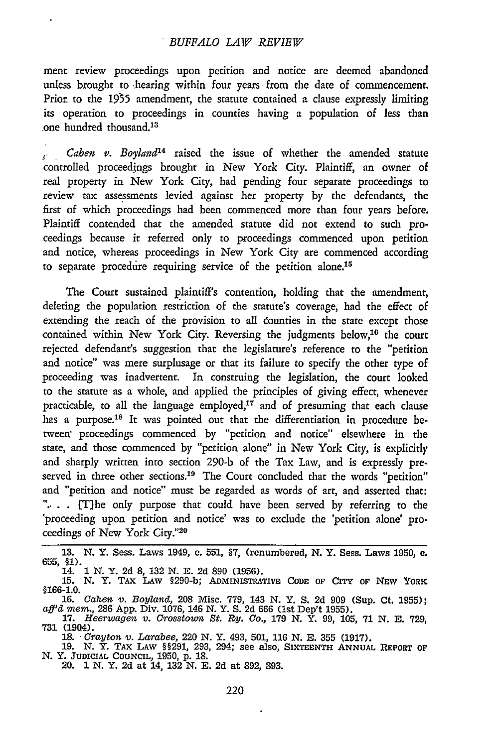#### *BUFFALO LAW REVIBW*

ment review proceedings upon petition and notice are deemed abandoned unless brought to hearing within four years from the date of commencement. Prior to the **1955** amendment, the statute contained a clause expressly limiting its operation to proceedings in counties having a population of less than .one hundred thousand.<sup>13</sup>

*Cahen* v. *Boyland'4* raised the issue of whether the amended statute controlled proceedings brought in New York City. Plaintiff, an owner of real property in New York City, had pending four separate proceedings to review tax assessments levied against her property by the defendants, the first of which proceedings had been commenced more than four years before. Plaintiff contended that the amended statute did not extend to such proceedings because it referred only to proceedings commenced upon petition and notice, whereas proceedings in New York City are commenced according to separate procedure requiring service of the petition alone.<sup>15</sup>

The Court sustained plaintiff's contention, holding that the amendment, deleting the population restriction of the statute's coverage, had the effect of extending the reach of the provision to all counties in the state except those contained within New York City. Reversing the judgments below,<sup>16</sup> the cour rejected defendant's suggestion that the legislature's reference to the "petition and notice" was mere surplusage or that its failure to specify the other type of proceeding was inadvertent. In construing the legislation, the court looked to the statute as a whole, and applied the principles of giving effect, whenever practicable, to all the language employed, $17$  and of presuming that each clause has a purpose.<sup>18</sup> It was pointed out that the differentiation in procedure between proceedings commenced by "petition and notice" elsewhere in the state, and those commenced by "petition alone" in New York City, is explicitly and sharply written into section 290-b of the Tax Law, and is expressly preserved in three other sections.<sup>19</sup> The Court concluded that the words "petition" and "petition and notice" must be regarded as words of art, and asserted that: "... [T]he only purpose that could have been served by referring to the 'proceeding upon petition and notice' was to exclude the 'petition alone' proceedings of New York City."2°

**13. N.** Y. Sess. Laws 1949, c. **551, §7,** (renumbered, **N.** Y. Sess. Laws 1950, c. 655, §1).

18. *Crayton v. Larabee,* 220 N. Y. 493, 501, 116 N. E. 355 (1917).

19. N. Y. TAX LAw §§291, 293, 294; see also, **SIXTEENTH ANNUAL** REPORT **OF'** N. Y. **JUDICIAL COUNCIL, 1950, p. 18.** 20. 1 **N.** Y. **2d** at 14, **132 N. E. 2d** at **892, 893.**

<sup>14.</sup> *1* **N.** Y. **2d** 8, **132 N. E. 2d** 890 (1956). 15. N. Y. **TAX** LAW §290-b; **ADMINISTRATIVE CODE OF** CITY **OF** NEW YORK §166-1.0.

<sup>16.</sup> Cahen v. Boyland, 208 Misc. 779, 143 N. Y. S. 2d 909 (Sup. Ct. 1955);<br>aff'd mem., 286 App. Div. 1076, 146 N. Y. S. 2d 666 (1st Dep't 1955).<br>17. Heerwagen v. Crosstown St. Ry. Co., 179 N. Y. 99, 105, 71 N. E. 729,

<sup>731 (1904).</sup>